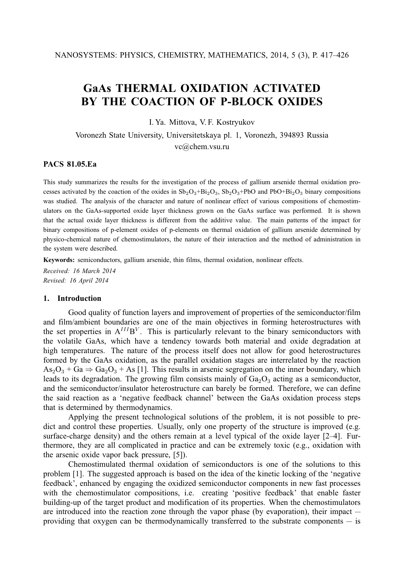# **GaAs THERMAL OXIDATION ACTIVATED BY THE COACTION OF P-BLOCK OXIDES**

I. Ya. Mittova, V. F. Kostryukov

Voronezh State University, Universitetskaya pl. 1, Voronezh, 394893 Russia vc@chem.vsu.ru

## **PACS 81.05.Ea**

This study summarizes the results for the investigation of the process of gallium arsenide thermal oxidation processes activated by the coaction of the oxides in  $Sb_2O_3+Bi_2O_3$ ,  $Sb_2O_3+PbO$  and  $PbO+Bi_2O_3$  binary compositions was studied. The analysis of the character and nature of nonlinear effect of various compositions of chemostimulators on the GaAs-supported oxide layer thickness grown on the GaAs surface was performed. It is shown that the actual oxide layer thickness is different from the additive value. The main patterns of the impact for binary compositions of p-element oxides of p-elements on thermal oxidation of gallium arsenide determined by physico-chemical nature of chemostimulators, the nature of their interaction and the method of administration in the system were described.

**Keywords:** semiconductors, gallium arsenide, thin films, thermal oxidation, nonlinear effects.

*Received: 16 March 2014 Revised: 16 April 2014*

## **1. Introduction**

Good quality of function layers and improvement of properties of the semiconductor/film and film/ambient boundaries are one of the main objectives in forming heterostructures with the set properties in  $A^{III}B^{V}$ . This is particularly relevant to the binary semiconductors with the volatile GaAs, which have a tendency towards both material and oxide degradation at high temperatures. The nature of the process itself does not allow for good heterostructures formed by the GaAs oxidation, as the parallel oxidation stages are interrelated by the reaction  $As<sub>2</sub>O<sub>3</sub> + Ga \Rightarrow Ga<sub>2</sub>O<sub>3</sub> + As$  [1]. This results in arsenic segregation on the inner boundary, which leads to its degradation. The growing film consists mainly of  $Ga<sub>2</sub>O<sub>3</sub>$  acting as a semiconductor, and the semiconductor/insulator heterostructure can barely be formed. Therefore, we can define the said reaction as a 'negative feedback channel' between the GaAs oxidation process steps that is determined by thermodynamics.

Applying the present technological solutions of the problem, it is not possible to predict and control these properties. Usually, only one property of the structure is improved (e.g. surface-charge density) and the others remain at a level typical of the oxide layer [2–4]. Furthermore, they are all complicated in practice and can be extremely toxic (e.g., oxidation with the arsenic oxide vapor back pressure, [5]).

Chemostimulated thermal oxidation of semiconductors is one of the solutions to this problem [1]. The suggested approach is based on the idea of the kinetic locking of the 'negative feedback', enhanced by engaging the oxidized semiconductor components in new fast processes with the chemostimulator compositions, i.e. creating 'positive feedback' that enable faster building-up of the target product and modification of its properties. When the chemostimulators are introduced into the reaction zone through the vapor phase (by evaporation), their impact providing that oxygen can be thermodynamically transferred to the substrate components — is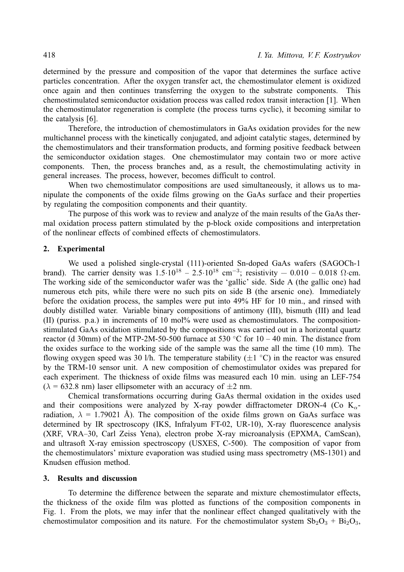determined by the pressure and composition of the vapor that determines the surface active particles concentration. After the oxygen transfer act, the chemostimulator element is oxidized once again and then continues transferring the oxygen to the substrate components. This chemostimulated semiconductor oxidation process was called redox transit interaction [1]. When the chemostimulator regeneration is complete (the process turns cyclic), it becoming similar to the catalysis [6].

Therefore, the introduction of chemostimulators in GaAs oxidation provides for the new multichannel process with the kinetically conjugated, and adjoint catalytic stages, determined by the chemostimulators and their transformation products, and forming positive feedback between the semiconductor oxidation stages. One chemostimulator may contain two or more active components. Then, the process branches and, as a result, the chemostimulating activity in general increases. The process, however, becomes difficult to control.

When two chemostimulator compositions are used simultaneously, it allows us to manipulate the components of the oxide films growing on the GaAs surface and their properties by regulating the composition components and their quantity.

The purpose of this work was to review and analyze of the main results of the GaAs thermal oxidation process pattern stimulated by the p-block oxide compositions and interpretation of the nonlinear effects of combined effects of chemostimulators.

## **2. Experimental**

We used a polished single-crystal (111)-oriented Sn-doped GaAs wafers (SAGOCh-1 brand). The carrier density was  $1.5 \cdot 10^{18} - 2.5 \cdot 10^{18}$  cm<sup>-3</sup>; resistivity  $-0.010 - 0.018$   $\Omega$ ·cm. The working side of the semiconductor wafer was the 'gallic' side. Side A (the gallic one) had numerous etch pits, while there were no such pits on side B (the arsenic one). Immediately before the oxidation process, the samples were put into 49% HF for 10 min., and rinsed with doubly distilled water. Variable binary compositions of antimony (III), bismuth (III) and lead (II) (puriss. p.a.) in increments of 10 mol% were used as chemostimulators. The compositionstimulated GaAs oxidation stimulated by the compositions was carried out in a horizontal quartz reactor (d 30mm) of the MTP-2M-50-500 furnace at 530 °C for  $10 - 40$  min. The distance from the oxides surface to the working side of the sample was the same all the time (10 mm). The flowing oxygen speed was 30 l/h. The temperature stability  $(\pm 1 \degree C)$  in the reactor was ensured by the TRM-10 sensor unit. A new composition of chemostimulator oxides was prepared for each experiment. The thickness of oxide films was measured each 10 min. using an LEF-754  $(\lambda = 632.8 \text{ nm})$  laser ellipsometer with an accuracy of  $\pm 2 \text{ nm}$ .

Chemical transformations occurring during GaAs thermal oxidation in the oxides used and their compositions were analyzed by X-ray powder diffractometer DRON-4 (Co  $K_{\alpha}$ radiation,  $\lambda = 1.79021$  Å). The composition of the oxide films grown on GaAs surface was determined by IR spectroscopy (IKS, Infralyum FT-02, UR-10), X-ray fluorescence analysis (XRF, VRA–30, Carl Zeiss Yena), electron probe X-ray microanalysis (EPXMA, CamScan), and ultrasoft X-ray emission spectroscopy (USXES, C-500). The composition of vapor from the chemostimulators' mixture evaporation was studied using mass spectrometry (MS-1301) and Knudsen effusion method.

#### **3. Results and discussion**

To determine the difference between the separate and mixture chemostimulator effects, the thickness of the oxide film was plotted as functions of the composition components in Fig. 1. From the plots, we may infer that the nonlinear effect changed qualitatively with the chemostimulator composition and its nature. For the chemostimulator system  $Sb_2O_3 + Bi_2O_3$ ,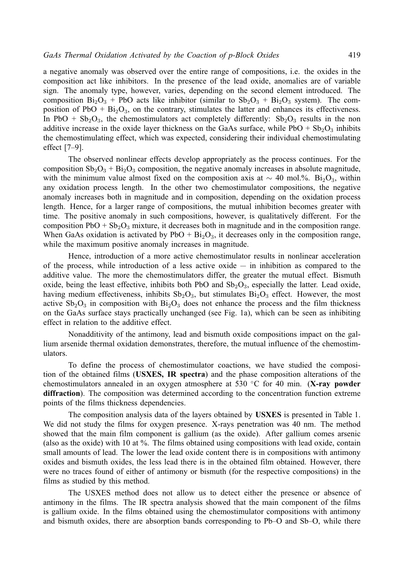a negative anomaly was observed over the entire range of compositions, i.e. the oxides in the composition act like inhibitors. In the presence of the lead oxide, anomalies are of variable sign. The anomaly type, however, varies, depending on the second element introduced. The composition  $Bi_2O_3$  + PbO acts like inhibitor (similar to  $Sb_2O_3$  +  $Bi_2O_3$  system). The composition of PbO +  $Bi<sub>2</sub>O<sub>3</sub>$ , on the contrary, stimulates the latter and enhances its effectiveness. In PbO +  $Sb_2O_3$ , the chemostimulators act completely differently:  $Sb_2O_3$  results in the non additive increase in the oxide layer thickness on the GaAs surface, while  $PbO + Sb<sub>2</sub>O<sub>3</sub>$  inhibits the chemostimulating effect, which was expected, considering their individual chemostimulating effect [7–9].

The observed nonlinear effects develop appropriately as the process continues. For the composition  $Sb_2O_3 + Bi_2O_3$  composition, the negative anomaly increases in absolute magnitude, with the minimum value almost fixed on the composition axis at  $\sim$  40 mol.%. Bi<sub>2</sub>O<sub>3</sub>, within any oxidation process length. In the other two chemostimulator compositions, the negative anomaly increases both in magnitude and in composition, depending on the oxidation process length. Hence, for a larger range of compositions, the mutual inhibition becomes greater with time. The positive anomaly in such compositions, however, is qualitatively different. For the composition  $PbO + Sb<sub>2</sub>O<sub>3</sub>$  mixture, it decreases both in magnitude and in the composition range. When GaAs oxidation is activated by  $PbO + Bi<sub>2</sub>O<sub>3</sub>$ , it decreases only in the composition range, while the maximum positive anomaly increases in magnitude.

Hence, introduction of a more active chemostimulator results in nonlinear acceleration of the process, while introduction of a less active  $\alpha$  idea  $-$  in inhibition as compared to the additive value. The more the chemostimulators differ, the greater the mutual effect. Bismuth oxide, being the least effective, inhibits both PbO and  $Sb_2O_3$ , especially the latter. Lead oxide, having medium effectiveness, inhibits  $Sb<sub>2</sub>O<sub>3</sub>$ , but stimulates  $Bi<sub>2</sub>O<sub>3</sub>$  effect. However, the most active  $Sb_2O_3$  in composition with  $Bi_2O_3$  does not enhance the process and the film thickness on the GaAs surface stays practically unchanged (see Fig. 1a), which can be seen as inhibiting effect in relation to the additive effect.

Nonadditivity of the antimony, lead and bismuth oxide compositions impact on the gallium arsenide thermal oxidation demonstrates, therefore, the mutual influence of the chemostimulators.

To define the process of chemostimulator coactions, we have studied the composition of the obtained films (**USXES, IR spectra**) and the phase composition alterations of the chemostimulators annealed in an oxygen atmosphere at 530 ◦C for 40 min. (**X-ray powder diffraction**). The composition was determined according to the concentration function extreme points of the films thickness dependencies.

The composition analysis data of the layers obtained by **USXES** is presented in Table 1. We did not study the films for oxygen presence. X-rays penetration was 40 nm. The method showed that the main film component is gallium (as the oxide). After gallium comes arsenic (also as the oxide) with 10 at %. The films obtained using compositions with lead oxide, contain small amounts of lead. The lower the lead oxide content there is in compositions with antimony oxides and bismuth oxides, the less lead there is in the obtained film obtained. However, there were no traces found of either of antimony or bismuth (for the respective compositions) in the films as studied by this method.

The USXES method does not allow us to detect either the presence or absence of antimony in the films. The IR spectra analysis showed that the main component of the films is gallium oxide. In the films obtained using the chemostimulator compositions with antimony and bismuth oxides, there are absorption bands corresponding to Pb–O and Sb–O, while there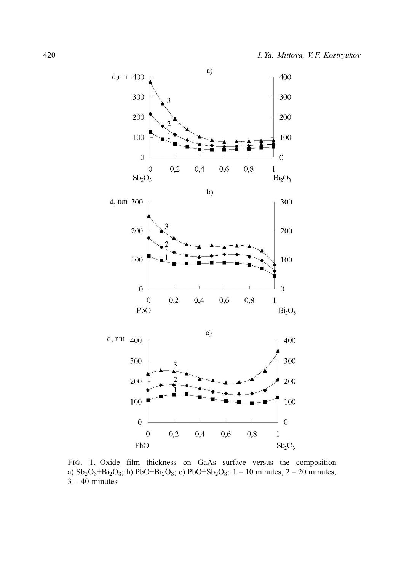

FIG. 1. Oxide film thickness on GaAs surface versus the composition a)  $Sb_2O_3 + Bi_2O_3$ ; b) PbO+Bi<sub>2</sub>O<sub>3</sub>; c) PbO+Sb<sub>2</sub>O<sub>3</sub>: 1 – 10 minutes, 2 – 20 minutes,  $3 - 40$  minutes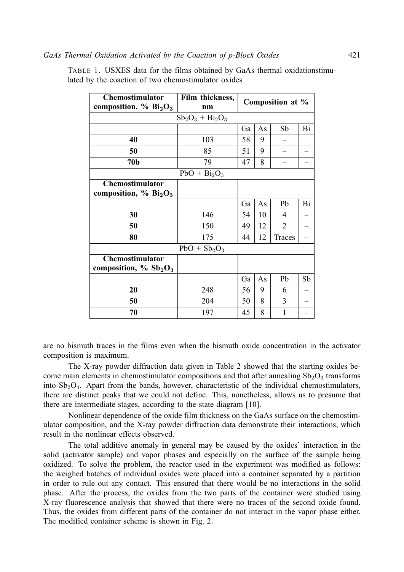| <b>Chemostimulator</b>                           | Film thickness, | Composition at % |                      |                |    |  |  |  |  |  |
|--------------------------------------------------|-----------------|------------------|----------------------|----------------|----|--|--|--|--|--|
| composition, % $Bi2O3$                           | nm              |                  |                      |                |    |  |  |  |  |  |
| $Sb_2O_3 + Bi_2O_3$                              |                 |                  |                      |                |    |  |  |  |  |  |
|                                                  |                 | Ga               | As                   | Sb             | Bi |  |  |  |  |  |
| 40                                               | 103             | 58               | 9                    |                |    |  |  |  |  |  |
| 50                                               | 85              | 51               | 9                    |                |    |  |  |  |  |  |
| 70 <sub>b</sub>                                  | 79              | 47               | 8                    |                |    |  |  |  |  |  |
| $PbO + Bi2O3$                                    |                 |                  |                      |                |    |  |  |  |  |  |
| <b>Chemostimulator</b>                           |                 |                  |                      |                |    |  |  |  |  |  |
| composition, $\%$ Bi <sub>2</sub> O <sub>3</sub> |                 |                  |                      |                |    |  |  |  |  |  |
|                                                  |                 | Ga               | As                   | Pb             | Bi |  |  |  |  |  |
| 30                                               | 146             | 54               | 10                   | $\overline{4}$ |    |  |  |  |  |  |
| 50                                               | 150             | 49               | 12<br>$\overline{2}$ |                |    |  |  |  |  |  |
| 80                                               | 175             | 44               | 12                   | Traces         |    |  |  |  |  |  |
| $PbO + Sb2O3$                                    |                 |                  |                      |                |    |  |  |  |  |  |
| <b>Chemostimulator</b>                           |                 |                  |                      |                |    |  |  |  |  |  |
| composition, $\%$ Sb <sub>2</sub> O <sub>3</sub> |                 |                  |                      |                |    |  |  |  |  |  |
|                                                  |                 | Ga               | As                   | Pb             | Sb |  |  |  |  |  |
| 20                                               | 248             | 56               | 9                    | 6              |    |  |  |  |  |  |
| 50                                               | 204             | 50               | 8                    | 3              |    |  |  |  |  |  |
| 70                                               | 197             | 45               | 8                    | 1              |    |  |  |  |  |  |

TABLE 1. USXES data for the films obtained by GaAs thermal oxidationstimulated by the coaction of two chemostimulator oxides

are no bismuth traces in the films even when the bismuth oxide concentration in the activator composition is maximum.

The X-ray powder diffraction data given in Table 2 showed that the starting oxides become main elements in chemostimulator compositions and that after annealing  $Sb_2O_3$  transforms into  $Sb<sub>2</sub>O<sub>4</sub>$ . Apart from the bands, however, characteristic of the individual chemostimulators, there are distinct peaks that we could not define. This, nonetheless, allows us to presume that there are intermediate stages, according to the state diagram [10].

Nonlinear dependence of the oxide film thickness on the GaAs surface on the chemostimulator composition, and the X-ray powder diffraction data demonstrate their interactions, which result in the nonlinear effects observed.

The total additive anomaly in general may be caused by the oxides' interaction in the solid (activator sample) and vapor phases and especially on the surface of the sample being oxidized. To solve the problem, the reactor used in the experiment was modified as follows: the weighed batches of individual oxides were placed into a container separated by a partition in order to rule out any contact. This ensured that there would be no interactions in the solid phase. After the process, the oxides from the two parts of the container were studied using X-ray fluorescence analysis that showed that there were no traces of the second oxide found. Thus, the oxides from different parts of the container do not interact in the vapor phase either. The modified container scheme is shown in Fig. 2.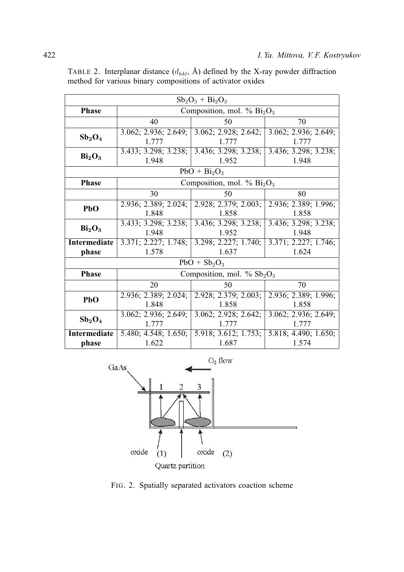| $Sb_2O_3 + Bi_2O_3$            |                               |                                           |                                    |  |  |  |  |  |
|--------------------------------|-------------------------------|-------------------------------------------|------------------------------------|--|--|--|--|--|
| <b>Phase</b>                   | Composition, mol. % $Bi2O3$   |                                           |                                    |  |  |  |  |  |
|                                | 40                            | 50                                        | 70                                 |  |  |  |  |  |
| $Sb_2O_4$                      |                               | 3.062; 2.936; 2.649; 3.062; 2.928; 2.642; | 3.062; 2.936; 2.649;               |  |  |  |  |  |
|                                | 1.777                         | 1.777                                     | 1.777                              |  |  |  |  |  |
| Bi <sub>2</sub> O <sub>3</sub> | 3.433; 3.298; 3.238;          | 3.436; 3.298; 3.238;                      | 3.436; 3.298; 3.238;               |  |  |  |  |  |
|                                | 1.948                         | 1.952                                     | 1.948                              |  |  |  |  |  |
| $PbO + Bi2O3$                  |                               |                                           |                                    |  |  |  |  |  |
| <b>Phase</b>                   | Composition, mol. % $Bi2O3$   |                                           |                                    |  |  |  |  |  |
|                                | 30                            | 50                                        | 80                                 |  |  |  |  |  |
| PbO                            | 2.936; 2.389; 2.024;          | 2.928; 2.379; 2.003;                      | 2.936; 2.389; 1.996;               |  |  |  |  |  |
|                                | 1.848                         | 1.858                                     | 1.858                              |  |  |  |  |  |
| Bi <sub>2</sub> O <sub>3</sub> | 3.433; 3.298; 3.238;          | 3.436; 3.298; 3.238;                      | 3.436; 3.298; 3.238;               |  |  |  |  |  |
|                                | 1.948                         | 1.952                                     | 1.948                              |  |  |  |  |  |
| Intermediate                   | 3.371; 2.227; 1.748;          | 3.298; 2.227; 1.740;                      | $\overline{3.371}$ ; 2.227; 1.746; |  |  |  |  |  |
| phase                          | 1.578                         | 1.637                                     | 1.624                              |  |  |  |  |  |
| $PbO + Sb2O3$                  |                               |                                           |                                    |  |  |  |  |  |
| <b>Phase</b>                   | Composition, mol. % $Sb_2O_3$ |                                           |                                    |  |  |  |  |  |
|                                | 20                            | 50                                        | 70                                 |  |  |  |  |  |
| PbO                            | 2.936; 2.389; 2.024;          | 2.928; 2.379; 2.003;                      | 2.936; 2.389; 1.996;               |  |  |  |  |  |
|                                | 1.848                         | 1.858                                     | 1.858                              |  |  |  |  |  |
| $Sb_2O_4$                      | 3.062; 2.936; 2.649;          | 3.062; 2.928; 2.642;                      | 3.062; 2.936; 2.649;               |  |  |  |  |  |
|                                | 1.777                         | 1.777                                     | 1.777                              |  |  |  |  |  |
| Intermediate                   | 5.480; 4.548; 1.650;          | 5.918; 3.612; 1.753;                      | 5.818; 4.490; 1.650;               |  |  |  |  |  |
| phase                          | 1.622                         | 1.687                                     | 1.574                              |  |  |  |  |  |

TABLE 2. Interplanar distance  $(d_{hkl}, \hat{A})$  defined by the X-ray powder diffraction method for various binary compositions of activator oxides



FIG. 2. Spatially separated activators coaction scheme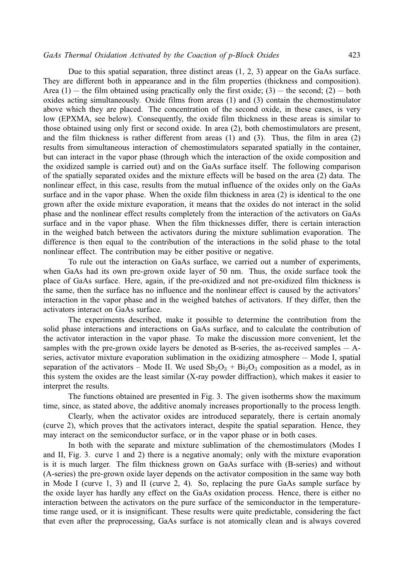Due to this spatial separation, three distinct areas (1, 2, 3) appear on the GaAs surface. They are different both in appearance and in the film properties (thickness and composition). Area  $(1)$  — the film obtained using practically only the first oxide;  $(3)$  — the second;  $(2)$  — both oxides acting simultaneously. Oxide films from areas (1) and (3) contain the chemostimulator above which they are placed. The concentration of the second oxide, in these cases, is very low (EPXMA, see below). Consequently, the oxide film thickness in these areas is similar to those obtained using only first or second oxide. In area (2), both chemostimulators are present, and the film thickness is rather different from areas (1) and (3). Thus, the film in area (2) results from simultaneous interaction of chemostimulators separated spatially in the container, but can interact in the vapor phase (through which the interaction of the oxide composition and the oxidized sample is carried out) and on the GaAs surface itself. The following comparison of the spatially separated oxides and the mixture effects will be based on the area (2) data. The nonlinear effect, in this case, results from the mutual influence of the oxides only on the GaAs surface and in the vapor phase. When the oxide film thickness in area (2) is identical to the one grown after the oxide mixture evaporation, it means that the oxides do not interact in the solid phase and the nonlinear effect results completely from the interaction of the activators on GaAs surface and in the vapor phase. When the film thicknesses differ, there is certain interaction in the weighed batch between the activators during the mixture sublimation evaporation. The difference is then equal to the contribution of the interactions in the solid phase to the total nonlinear effect. The contribution may be either positive or negative.

To rule out the interaction on GaAs surface, we carried out a number of experiments, when GaAs had its own pre-grown oxide layer of 50 nm. Thus, the oxide surface took the place of GaAs surface. Here, again, if the pre-oxidized and not pre-oxidized film thickness is the same, then the surface has no influence and the nonlinear effect is caused by the activators' interaction in the vapor phase and in the weighed batches of activators. If they differ, then the activators interact on GaAs surface.

The experiments described, make it possible to determine the contribution from the solid phase interactions and interactions on GaAs surface, and to calculate the contribution of the activator interaction in the vapor phase. To make the discussion more convenient, let the samples with the pre-grown oxide layers be denoted as B-series, the as-received samples  $- A$ series, activator mixture evaporation sublimation in the oxidizing atmosphere — Mode I, spatial separation of the activators – Mode II. We used  $Sb_2O_3 + Bi_2O_3$  composition as a model, as in this system the oxides are the least similar (X-ray powder diffraction), which makes it easier to interpret the results.

The functions obtained are presented in Fig. 3. The given isotherms show the maximum time, since, as stated above, the additive anomaly increases proportionally to the process length.

Clearly, when the activator oxides are introduced separately, there is certain anomaly (curve 2), which proves that the activators interact, despite the spatial separation. Hence, they may interact on the semiconductor surface, or in the vapor phase or in both cases.

In both with the separate and mixture sublimation of the chemostimulators (Modes I and II, Fig. 3. curve 1 and 2) there is a negative anomaly; only with the mixture evaporation is it is much larger. The film thickness grown on GaAs surface with (B-series) and without (A-series) the pre-grown oxide layer depends on the activator composition in the same way both in Mode I (curve 1, 3) and II (curve 2, 4). So, replacing the pure GaAs sample surface by the oxide layer has hardly any effect on the GaAs oxidation process. Hence, there is either no interaction between the activators on the pure surface of the semiconductor in the temperaturetime range used, or it is insignificant. These results were quite predictable, considering the fact that even after the preprocessing, GaAs surface is not atomically clean and is always covered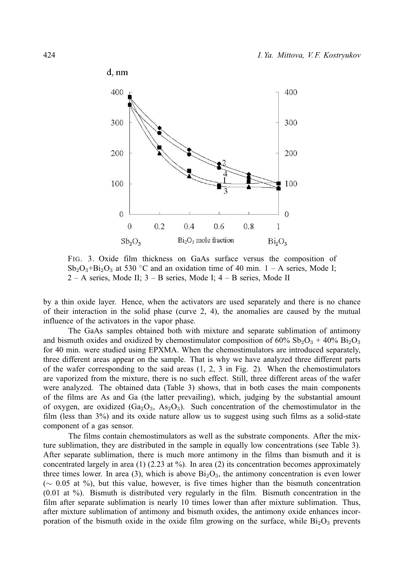

FIG. 3. Oxide film thickness on GaAs surface versus the composition of  $Sb_2O_3+Bi_2O_3$  at 530 °C and an oxidation time of 40 min. 1 – A series, Mode I; 2 – A series, Mode II; 3 – B series, Mode I; 4 – B series, Mode II

by a thin oxide layer. Hence, when the activators are used separately and there is no chance of their interaction in the solid phase (curve 2, 4), the anomalies are caused by the mutual influence of the activators in the vapor phase.

The GaAs samples obtained both with mixture and separate sublimation of antimony and bismuth oxides and oxidized by chemostimulator composition of  $60\%$  Sb<sub>2</sub>O<sub>3</sub> + 40% Bi<sub>2</sub>O<sub>3</sub> for 40 min. were studied using EPXMA. When the chemostimulators are introduced separately, three different areas appear on the sample. That is why we have analyzed three different parts of the wafer corresponding to the said areas (1, 2, 3 in Fig. 2). When the chemostimulators are vaporized from the mixture, there is no such effect. Still, three different areas of the wafer were analyzed. The obtained data (Table 3) shows, that in both cases the main components of the films are As and Ga (the latter prevailing), which, judging by the substantial amount of oxygen, are oxidized  $(Ga<sub>2</sub>O<sub>3</sub>, As<sub>2</sub>O<sub>3</sub>)$ . Such concentration of the chemostimulator in the film (less than 3%) and its oxide nature allow us to suggest using such films as a solid-state component of a gas sensor.

The films contain chemostimulators as well as the substrate components. After the mixture sublimation, they are distributed in the sample in equally low concentrations (see Table 3). After separate sublimation, there is much more antimony in the films than bismuth and it is concentrated largely in area (1) (2.23 at  $\%$ ). In area (2) its concentration becomes approximately three times lower. In area (3), which is above  $Bi<sub>2</sub>O<sub>3</sub>$ , the antimony concentration is even lower (∼ 0.05 at %), but this value, however, is five times higher than the bismuth concentration (0.01 at %). Bismuth is distributed very regularly in the film. Bismuth concentration in the film after separate sublimation is nearly 10 times lower than after mixture sublimation. Thus, after mixture sublimation of antimony and bismuth oxides, the antimony oxide enhances incorporation of the bismuth oxide in the oxide film growing on the surface, while  $Bi<sub>2</sub>O<sub>3</sub>$  prevents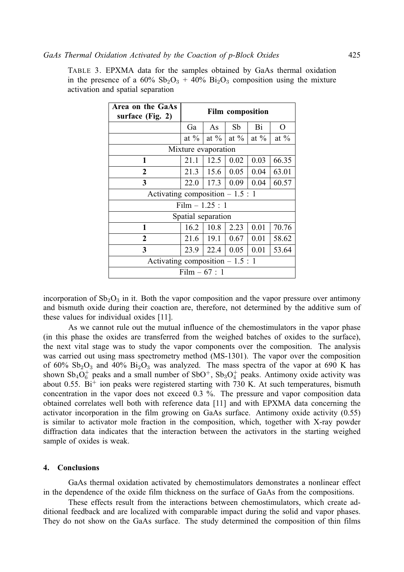TABLE 3. EPXMA data for the samples obtained by GaAs thermal oxidation in the presence of a  $60\%$  Sb<sub>2</sub>O<sub>3</sub> + 40% Bi<sub>2</sub>O<sub>3</sub> composition using the mixture activation and spatial separation

| Area on the GaAs<br>surface (Fig. 2) | <b>Film composition</b> |         |         |         |         |  |  |  |
|--------------------------------------|-------------------------|---------|---------|---------|---------|--|--|--|
|                                      | Ga                      | As      | Sb      | Bi      | O       |  |  |  |
|                                      | at $\%$                 | at $\%$ | at $\%$ | at $\%$ | at $\%$ |  |  |  |
| Mixture evaporation                  |                         |         |         |         |         |  |  |  |
| 1                                    | 21.1                    | 12.5    | 0.02    | 0.03    | 66.35   |  |  |  |
| $\overline{2}$                       | 21.3                    | 15.6    | 0.05    | 0.04    | 63.01   |  |  |  |
| 3                                    | 22.0                    | 17.3    | 0.09    | 0.04    | 60.57   |  |  |  |
| Activating composition $-1.5:1$      |                         |         |         |         |         |  |  |  |
| Film $-1.25:1$                       |                         |         |         |         |         |  |  |  |
| Spatial separation                   |                         |         |         |         |         |  |  |  |
| 1                                    | 16.2                    | 10.8    | 2.23    | 0.01    | 70.76   |  |  |  |
| $\overline{2}$                       | 21.6                    | 19.1    | 0.67    | 0.01    | 58.62   |  |  |  |
| 3                                    | 23.9                    | 22.4    | 0.05    | 0.01    | 53.64   |  |  |  |
| Activating composition $-1.5:1$      |                         |         |         |         |         |  |  |  |
| Film $-67:1$                         |                         |         |         |         |         |  |  |  |

incorporation of  $Sb_2O_3$  in it. Both the vapor composition and the vapor pressure over antimony and bismuth oxide during their coaction are, therefore, not determined by the additive sum of these values for individual oxides [11].

As we cannot rule out the mutual influence of the chemostimulators in the vapor phase (in this phase the oxides are transferred from the weighed batches of oxides to the surface), the next vital stage was to study the vapor components over the composition. The analysis was carried out using mass spectrometry method (MS-1301). The vapor over the composition of 60%  $Sb_2O_3$  and 40%  $Bi_2O_3$  was analyzed. The mass spectra of the vapor at 690 K has shown  $Sb_4O_6^+$  peaks and a small number of  $SbO^+$ ,  $Sb_3O_4^+$  peaks. Antimony oxide activity was about 0.55.  $Bi^{+}$  ion peaks were registered starting with 730 K. At such temperatures, bismuth concentration in the vapor does not exceed 0.3 %. The pressure and vapor composition data obtained correlates well both with reference data [11] and with EPXMA data concerning the activator incorporation in the film growing on GaAs surface. Antimony oxide activity (0.55) is similar to activator mole fraction in the composition, which, together with X-ray powder diffraction data indicates that the interaction between the activators in the starting weighed sample of oxides is weak.

#### **4. Conclusions**

GaAs thermal oxidation activated by chemostimulators demonstrates a nonlinear effect in the dependence of the oxide film thickness on the surface of GaAs from the compositions.

These effects result from the interactions between chemostimulators, which create additional feedback and are localized with comparable impact during the solid and vapor phases. They do not show on the GaAs surface. The study determined the composition of thin films